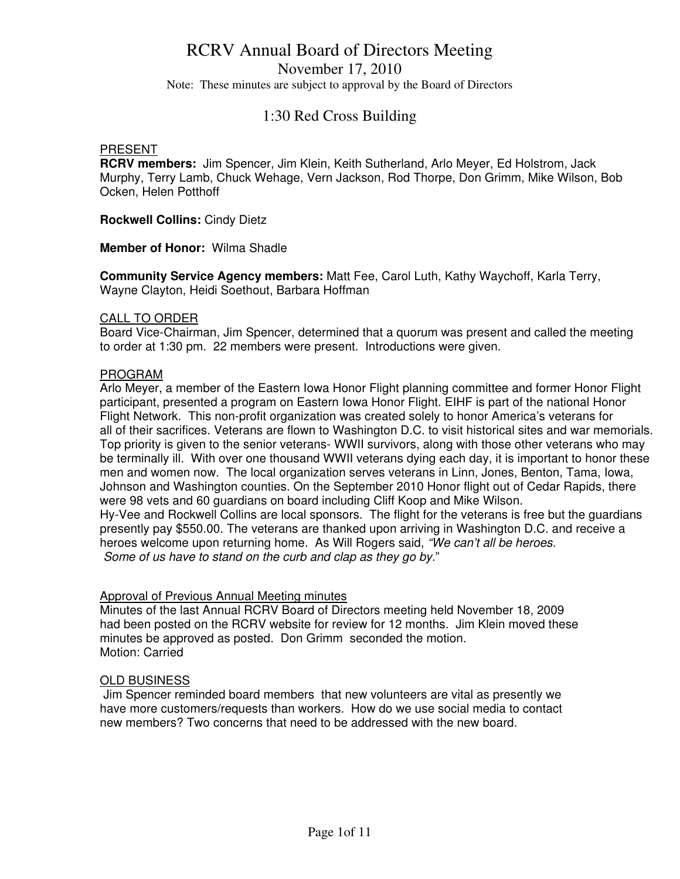November 17, 2010

Note: These minutes are subject to approval by the Board of Directors

### 1:30 Red Cross Building

#### PRESENT

**RCRV members:** Jim Spencer, Jim Klein, Keith Sutherland, Arlo Meyer, Ed Holstrom, Jack Murphy, Terry Lamb, Chuck Wehage, Vern Jackson, Rod Thorpe, Don Grimm, Mike Wilson, Bob Ocken, Helen Potthoff

**Rockwell Collins:** Cindy Dietz

**Member of Honor:** Wilma Shadle

**Community Service Agency members:** Matt Fee, Carol Luth, Kathy Waychoff, Karla Terry, Wayne Clayton, Heidi Soethout, Barbara Hoffman

#### CALL TO ORDER

Board Vice-Chairman, Jim Spencer, determined that a quorum was present and called the meeting to order at 1:30 pm. 22 members were present. Introductions were given.

### PROGRAM

Arlo Meyer, a member of the Eastern Iowa Honor Flight planning committee and former Honor Flight participant, presented a program on Eastern Iowa Honor Flight. EIHF is part of the national Honor Flight Network. This non-profit organization was created solely to honor America's veterans for all of their sacrifices. Veterans are flown to Washington D.C. to visit historical sites and war memorials. Top priority is given to the senior veterans- WWII survivors, along with those other veterans who may be terminally ill. With over one thousand WWII veterans dying each day, it is important to honor these men and women now. The local organization serves veterans in Linn, Jones, Benton, Tama, Iowa, Johnson and Washington counties. On the September 2010 Honor flight out of Cedar Rapids, there were 98 vets and 60 guardians on board including Cliff Koop and Mike Wilson. Hy-Vee and Rockwell Collins are local sponsors. The flight for the veterans is free but the guardians presently pay \$550.00. The veterans are thanked upon arriving in Washington D.C. and receive a heroes welcome upon returning home. As Will Rogers said, "We can't all be heroes. Some of us have to stand on the curb and clap as they go by."

#### Approval of Previous Annual Meeting minutes

Minutes of the last Annual RCRV Board of Directors meeting held November 18, 2009 had been posted on the RCRV website for review for 12 months. Jim Klein moved these minutes be approved as posted. Don Grimm seconded the motion. Motion: Carried

### OLD BUSINESS

 Jim Spencer reminded board members that new volunteers are vital as presently we have more customers/requests than workers. How do we use social media to contact new members? Two concerns that need to be addressed with the new board.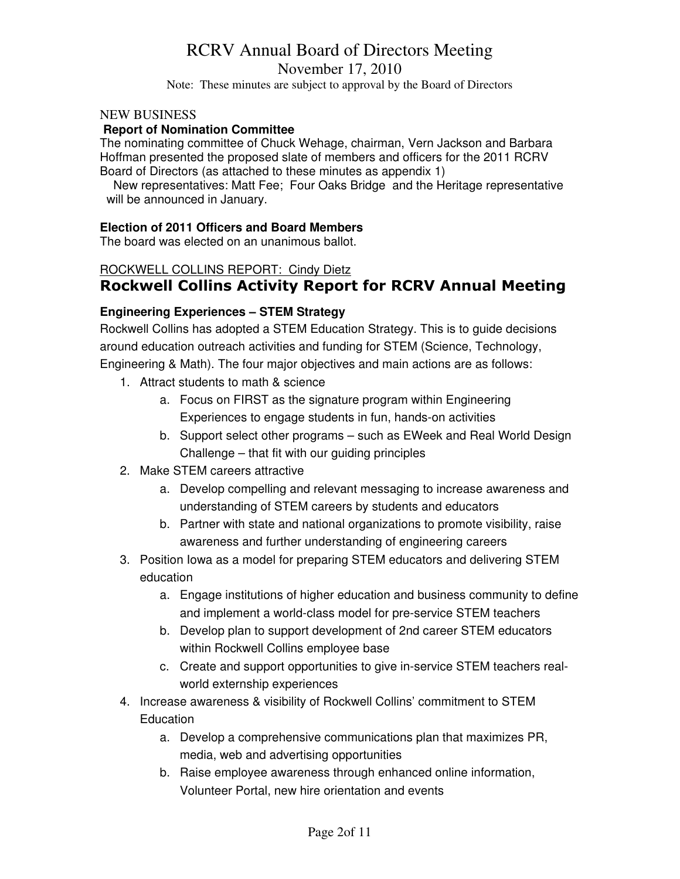### November 17, 2010

Note: These minutes are subject to approval by the Board of Directors

### NEW BUSINESS

### **Report of Nomination Committee**

The nominating committee of Chuck Wehage, chairman, Vern Jackson and Barbara Hoffman presented the proposed slate of members and officers for the 2011 RCRV Board of Directors (as attached to these minutes as appendix 1)

 New representatives: Matt Fee; Four Oaks Bridge and the Heritage representative will be announced in January.

### **Election of 2011 Officers and Board Members**

The board was elected on an unanimous ballot.

### ROCKWELL COLLINS REPORT: Cindy Dietz

### **Rockwell Collins Activity Report for RCRV Annual Meeting**

### **Engineering Experiences – STEM Strategy**

Rockwell Collins has adopted a STEM Education Strategy. This is to guide decisions around education outreach activities and funding for STEM (Science, Technology,

Engineering & Math). The four major objectives and main actions are as follows:

- 1. Attract students to math & science
	- a. Focus on FIRST as the signature program within Engineering Experiences to engage students in fun, hands-on activities
	- b. Support select other programs such as EWeek and Real World Design Challenge – that fit with our guiding principles
- 2. Make STEM careers attractive
	- a. Develop compelling and relevant messaging to increase awareness and understanding of STEM careers by students and educators
	- b. Partner with state and national organizations to promote visibility, raise awareness and further understanding of engineering careers
- 3. Position Iowa as a model for preparing STEM educators and delivering STEM education
	- a. Engage institutions of higher education and business community to define and implement a world-class model for pre-service STEM teachers
	- b. Develop plan to support development of 2nd career STEM educators within Rockwell Collins employee base
	- c. Create and support opportunities to give in-service STEM teachers realworld externship experiences
- 4. Increase awareness & visibility of Rockwell Collins' commitment to STEM **Education** 
	- a. Develop a comprehensive communications plan that maximizes PR, media, web and advertising opportunities
	- b. Raise employee awareness through enhanced online information, Volunteer Portal, new hire orientation and events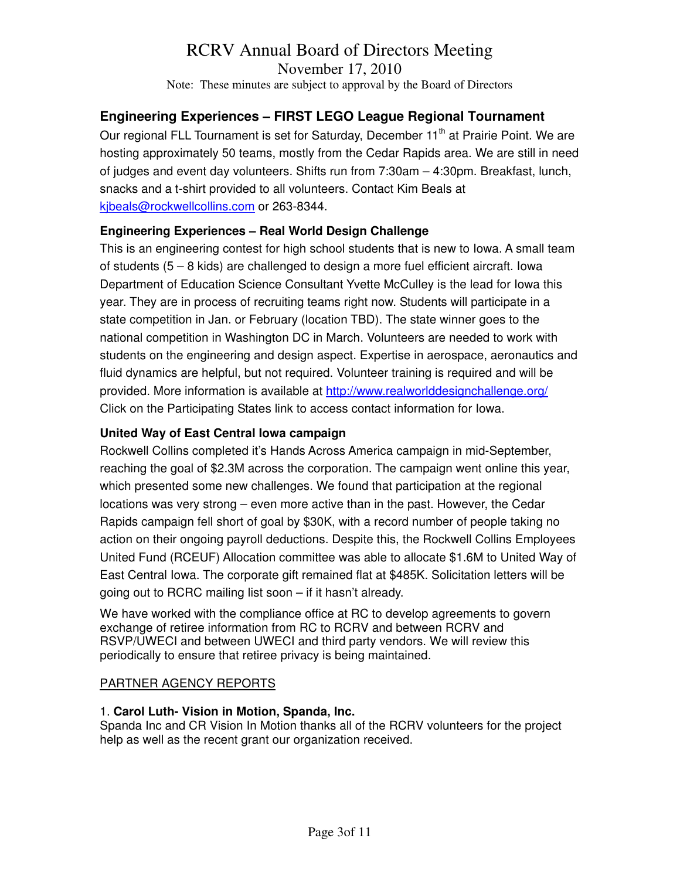November 17, 2010

Note: These minutes are subject to approval by the Board of Directors

### **Engineering Experiences – FIRST LEGO League Regional Tournament**

Our regional FLL Tournament is set for Saturday, December 11<sup>th</sup> at Prairie Point. We are hosting approximately 50 teams, mostly from the Cedar Rapids area. We are still in need of judges and event day volunteers. Shifts run from 7:30am – 4:30pm. Breakfast, lunch, snacks and a t-shirt provided to all volunteers. Contact Kim Beals at kjbeals@rockwellcollins.com or 263-8344.

### **Engineering Experiences – Real World Design Challenge**

This is an engineering contest for high school students that is new to Iowa. A small team of students (5 – 8 kids) are challenged to design a more fuel efficient aircraft. Iowa Department of Education Science Consultant Yvette McCulley is the lead for Iowa this year. They are in process of recruiting teams right now. Students will participate in a state competition in Jan. or February (location TBD). The state winner goes to the national competition in Washington DC in March. Volunteers are needed to work with students on the engineering and design aspect. Expertise in aerospace, aeronautics and fluid dynamics are helpful, but not required. Volunteer training is required and will be provided. More information is available at http://www.realworlddesignchallenge.org/ Click on the Participating States link to access contact information for Iowa.

### **United Way of East Central Iowa campaign**

Rockwell Collins completed it's Hands Across America campaign in mid-September, reaching the goal of \$2.3M across the corporation. The campaign went online this year, which presented some new challenges. We found that participation at the regional locations was very strong – even more active than in the past. However, the Cedar Rapids campaign fell short of goal by \$30K, with a record number of people taking no action on their ongoing payroll deductions. Despite this, the Rockwell Collins Employees United Fund (RCEUF) Allocation committee was able to allocate \$1.6M to United Way of East Central Iowa. The corporate gift remained flat at \$485K. Solicitation letters will be going out to RCRC mailing list soon – if it hasn't already.

We have worked with the compliance office at RC to develop agreements to govern exchange of retiree information from RC to RCRV and between RCRV and RSVP/UWECI and between UWECI and third party vendors. We will review this periodically to ensure that retiree privacy is being maintained.

### PARTNER AGENCY REPORTS

### 1. **Carol Luth- Vision in Motion, Spanda, Inc.**

Spanda Inc and CR Vision In Motion thanks all of the RCRV volunteers for the project help as well as the recent grant our organization received.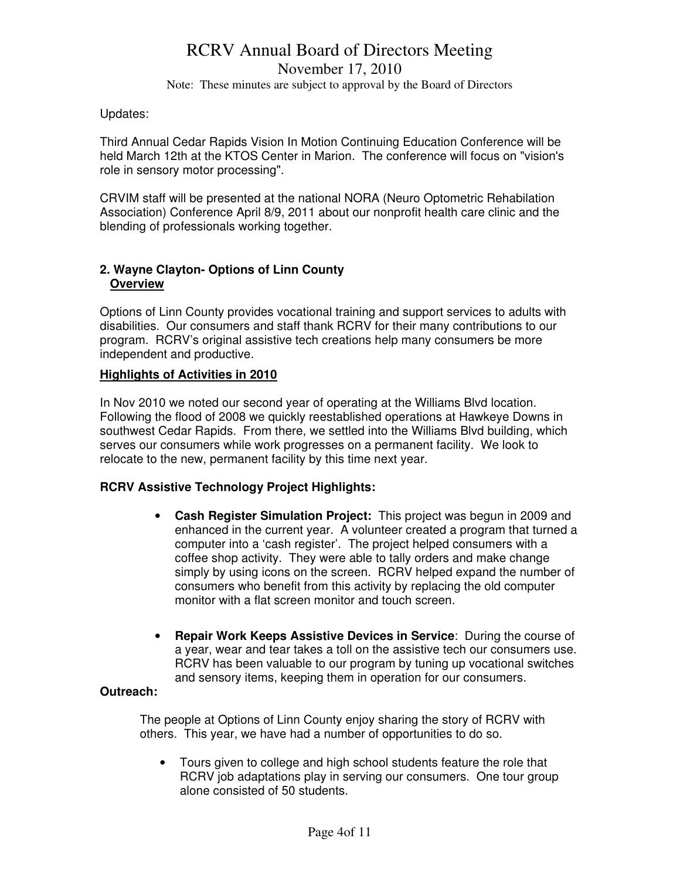### RCRV Annual Board of Directors Meeting November 17, 2010 Note: These minutes are subject to approval by the Board of Directors

### Updates:

Third Annual Cedar Rapids Vision In Motion Continuing Education Conference will be held March 12th at the KTOS Center in Marion. The conference will focus on "vision's role in sensory motor processing".

CRVIM staff will be presented at the national NORA (Neuro Optometric Rehabilation Association) Conference April 8/9, 2011 about our nonprofit health care clinic and the blending of professionals working together.

### **2. Wayne Clayton- Options of Linn County Overview**

Options of Linn County provides vocational training and support services to adults with disabilities. Our consumers and staff thank RCRV for their many contributions to our program. RCRV's original assistive tech creations help many consumers be more independent and productive.

### **Highlights of Activities in 2010**

In Nov 2010 we noted our second year of operating at the Williams Blvd location. Following the flood of 2008 we quickly reestablished operations at Hawkeye Downs in southwest Cedar Rapids. From there, we settled into the Williams Blvd building, which serves our consumers while work progresses on a permanent facility. We look to relocate to the new, permanent facility by this time next year.

### **RCRV Assistive Technology Project Highlights:**

- **Cash Register Simulation Project:** This project was begun in 2009 and enhanced in the current year. A volunteer created a program that turned a computer into a 'cash register'. The project helped consumers with a coffee shop activity. They were able to tally orders and make change simply by using icons on the screen. RCRV helped expand the number of consumers who benefit from this activity by replacing the old computer monitor with a flat screen monitor and touch screen.
- **Repair Work Keeps Assistive Devices in Service**: During the course of a year, wear and tear takes a toll on the assistive tech our consumers use. RCRV has been valuable to our program by tuning up vocational switches and sensory items, keeping them in operation for our consumers.

### **Outreach:**

The people at Options of Linn County enjoy sharing the story of RCRV with others. This year, we have had a number of opportunities to do so.

• Tours given to college and high school students feature the role that RCRV job adaptations play in serving our consumers. One tour group alone consisted of 50 students.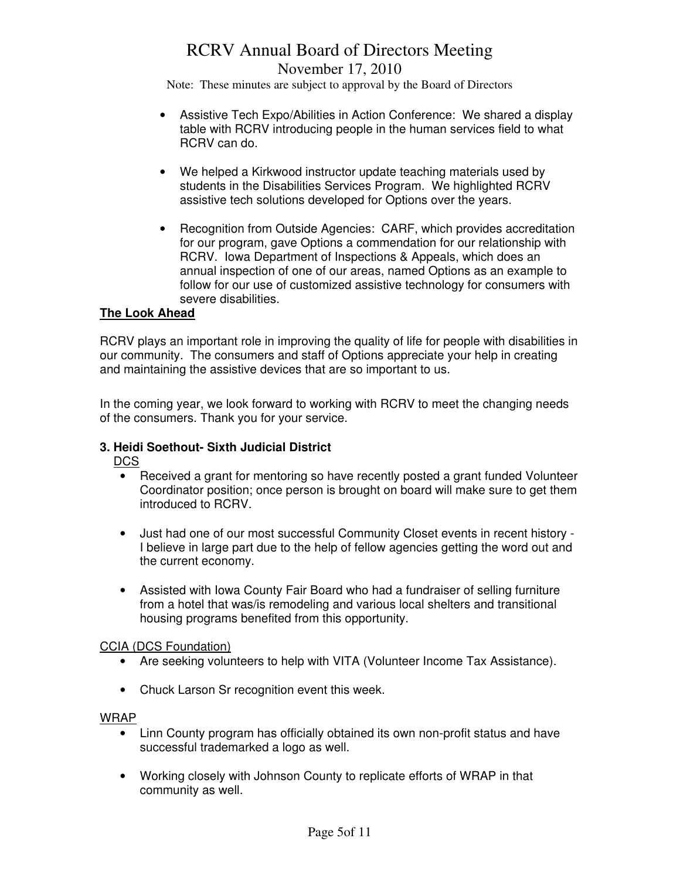### RCRV Annual Board of Directors Meeting November 17, 2010

Note: These minutes are subject to approval by the Board of Directors

- Assistive Tech Expo/Abilities in Action Conference: We shared a display table with RCRV introducing people in the human services field to what RCRV can do.
- We helped a Kirkwood instructor update teaching materials used by students in the Disabilities Services Program. We highlighted RCRV assistive tech solutions developed for Options over the years.
- Recognition from Outside Agencies: CARF, which provides accreditation for our program, gave Options a commendation for our relationship with RCRV. Iowa Department of Inspections & Appeals, which does an annual inspection of one of our areas, named Options as an example to follow for our use of customized assistive technology for consumers with severe disabilities.

### **The Look Ahead**

RCRV plays an important role in improving the quality of life for people with disabilities in our community. The consumers and staff of Options appreciate your help in creating and maintaining the assistive devices that are so important to us.

In the coming year, we look forward to working with RCRV to meet the changing needs of the consumers. Thank you for your service.

### **3. Heidi Soethout- Sixth Judicial District**

DCS

- Received a grant for mentoring so have recently posted a grant funded Volunteer Coordinator position; once person is brought on board will make sure to get them introduced to RCRV.
- Just had one of our most successful Community Closet events in recent history I believe in large part due to the help of fellow agencies getting the word out and the current economy.
- Assisted with Iowa County Fair Board who had a fundraiser of selling furniture from a hotel that was/is remodeling and various local shelters and transitional housing programs benefited from this opportunity.

### CCIA (DCS Foundation)

- Are seeking volunteers to help with VITA (Volunteer Income Tax Assistance).
- Chuck Larson Sr recognition event this week.

### WRAP

- Linn County program has officially obtained its own non-profit status and have successful trademarked a logo as well.
- Working closely with Johnson County to replicate efforts of WRAP in that community as well.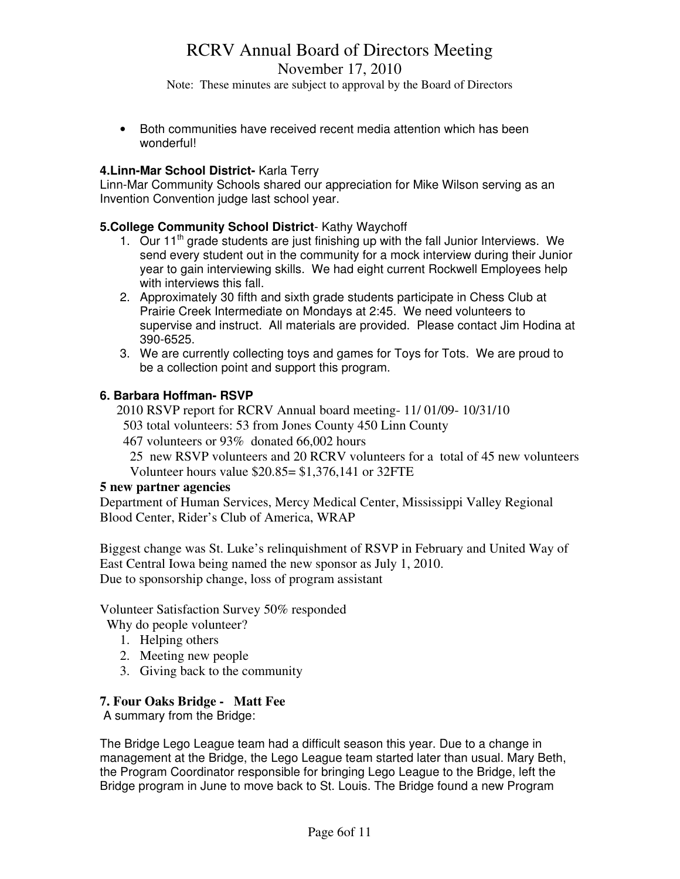November 17, 2010

Note: These minutes are subject to approval by the Board of Directors

• Both communities have received recent media attention which has been wonderful!

### **4.Linn-Mar School District-** Karla Terry

Linn-Mar Community Schools shared our appreciation for Mike Wilson serving as an Invention Convention judge last school year.

### **5.College Community School District**- Kathy Waychoff

- 1. Our 11<sup>th</sup> grade students are just finishing up with the fall Junior Interviews. We send every student out in the community for a mock interview during their Junior year to gain interviewing skills. We had eight current Rockwell Employees help with interviews this fall.
- 2. Approximately 30 fifth and sixth grade students participate in Chess Club at Prairie Creek Intermediate on Mondays at 2:45. We need volunteers to supervise and instruct. All materials are provided. Please contact Jim Hodina at 390-6525.
- 3. We are currently collecting toys and games for Toys for Tots. We are proud to be a collection point and support this program.

### **6. Barbara Hoffman- RSVP**

2010 RSVP report for RCRV Annual board meeting- 11/ 01/09- 10/31/10

503 total volunteers: 53 from Jones County 450 Linn County

467 volunteers or 93% donated 66,002 hours

 25 new RSVP volunteers and 20 RCRV volunteers for a total of 45 new volunteers Volunteer hours value \$20.85= \$1,376,141 or 32FTE

### **5 new partner agencies**

Department of Human Services, Mercy Medical Center, Mississippi Valley Regional Blood Center, Rider's Club of America, WRAP

Biggest change was St. Luke's relinquishment of RSVP in February and United Way of East Central Iowa being named the new sponsor as July 1, 2010. Due to sponsorship change, loss of program assistant

Volunteer Satisfaction Survey 50% responded

Why do people volunteer?

- 1. Helping others
- 2. Meeting new people
- 3. Giving back to the community

### **7. Four Oaks Bridge - Matt Fee**

A summary from the Bridge:

The Bridge Lego League team had a difficult season this year. Due to a change in management at the Bridge, the Lego League team started later than usual. Mary Beth, the Program Coordinator responsible for bringing Lego League to the Bridge, left the Bridge program in June to move back to St. Louis. The Bridge found a new Program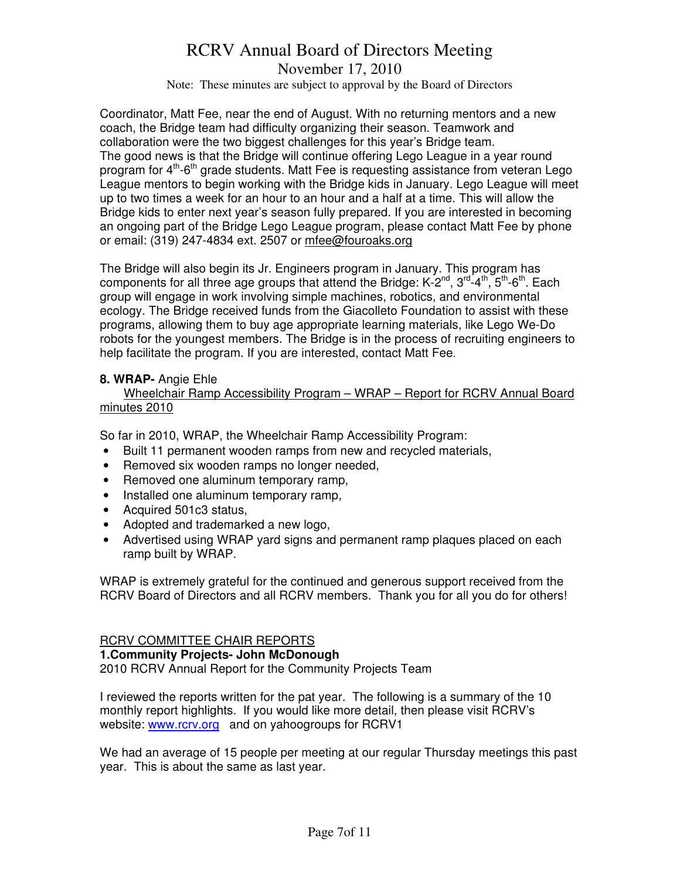November 17, 2010

Note: These minutes are subject to approval by the Board of Directors

Coordinator, Matt Fee, near the end of August. With no returning mentors and a new coach, the Bridge team had difficulty organizing their season. Teamwork and collaboration were the two biggest challenges for this year's Bridge team. The good news is that the Bridge will continue offering Lego League in a year round program for  $4<sup>th</sup>$ -6<sup>th</sup> grade students. Matt Fee is requesting assistance from veteran Lego League mentors to begin working with the Bridge kids in January. Lego League will meet up to two times a week for an hour to an hour and a half at a time. This will allow the Bridge kids to enter next year's season fully prepared. If you are interested in becoming an ongoing part of the Bridge Lego League program, please contact Matt Fee by phone or email: (319) 247-4834 ext. 2507 or mfee@fouroaks.org

The Bridge will also begin its Jr. Engineers program in January. This program has components for all three age groups that attend the Bridge:  $K-2^{nd}$ ,  $3^{rd}-4^{th}$ ,  $5^{th}-6^{th}$ . Each group will engage in work involving simple machines, robotics, and environmental ecology. The Bridge received funds from the Giacolleto Foundation to assist with these programs, allowing them to buy age appropriate learning materials, like Lego We-Do robots for the youngest members. The Bridge is in the process of recruiting engineers to help facilitate the program. If you are interested, contact Matt Fee.

### **8. WRAP-** Angie Ehle

 Wheelchair Ramp Accessibility Program – WRAP – Report for RCRV Annual Board minutes 2010

So far in 2010, WRAP, the Wheelchair Ramp Accessibility Program:

- Built 11 permanent wooden ramps from new and recycled materials,
- Removed six wooden ramps no longer needed,
- Removed one aluminum temporary ramp,
- Installed one aluminum temporary ramp,
- Acquired 501c3 status,
- Adopted and trademarked a new logo,
- Advertised using WRAP yard signs and permanent ramp plaques placed on each ramp built by WRAP.

WRAP is extremely grateful for the continued and generous support received from the RCRV Board of Directors and all RCRV members. Thank you for all you do for others!

### RCRV COMMITTEE CHAIR REPORTS

**1.Community Projects- John McDonough**

2010 RCRV Annual Report for the Community Projects Team

I reviewed the reports written for the pat year. The following is a summary of the 10 monthly report highlights. If you would like more detail, then please visit RCRV's website: www.rcrv.org and on yahoogroups for RCRV1

We had an average of 15 people per meeting at our regular Thursday meetings this past year. This is about the same as last year.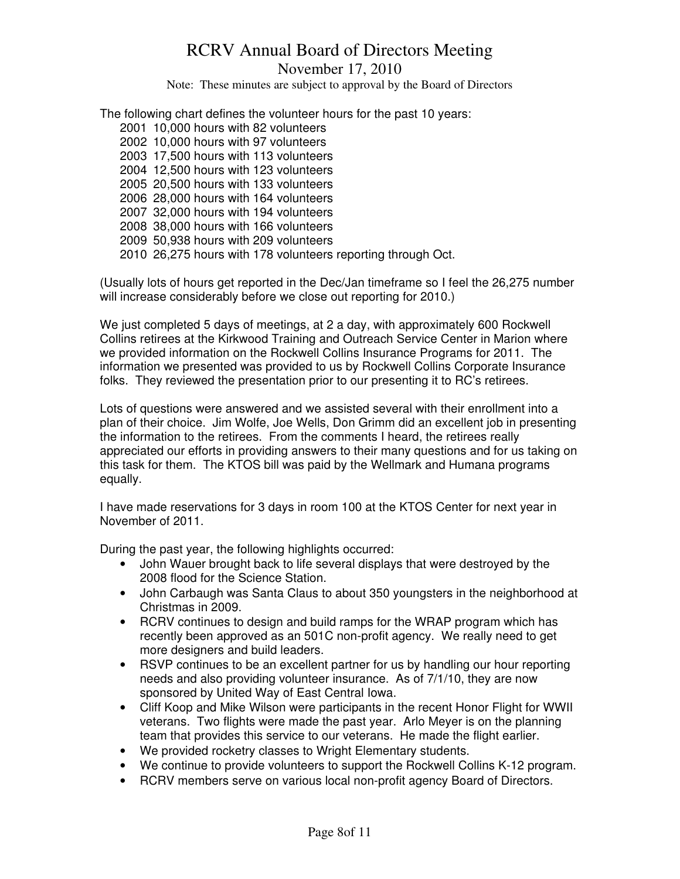November 17, 2010

Note: These minutes are subject to approval by the Board of Directors

The following chart defines the volunteer hours for the past 10 years:

2001 10,000 hours with 82 volunteers 2002 10,000 hours with 97 volunteers 2003 17,500 hours with 113 volunteers 2004 12,500 hours with 123 volunteers 2005 20,500 hours with 133 volunteers 2006 28,000 hours with 164 volunteers 2007 32,000 hours with 194 volunteers 2008 38,000 hours with 166 volunteers 2009 50,938 hours with 209 volunteers 2010 26,275 hours with 178 volunteers reporting through Oct.

(Usually lots of hours get reported in the Dec/Jan timeframe so I feel the 26,275 number will increase considerably before we close out reporting for 2010.)

We just completed 5 days of meetings, at 2 a day, with approximately 600 Rockwell Collins retirees at the Kirkwood Training and Outreach Service Center in Marion where we provided information on the Rockwell Collins Insurance Programs for 2011. The information we presented was provided to us by Rockwell Collins Corporate Insurance folks. They reviewed the presentation prior to our presenting it to RC's retirees.

Lots of questions were answered and we assisted several with their enrollment into a plan of their choice. Jim Wolfe, Joe Wells, Don Grimm did an excellent job in presenting the information to the retirees. From the comments I heard, the retirees really appreciated our efforts in providing answers to their many questions and for us taking on this task for them. The KTOS bill was paid by the Wellmark and Humana programs equally.

I have made reservations for 3 days in room 100 at the KTOS Center for next year in November of 2011.

During the past year, the following highlights occurred:

- John Wauer brought back to life several displays that were destroyed by the 2008 flood for the Science Station.
- John Carbaugh was Santa Claus to about 350 youngsters in the neighborhood at Christmas in 2009.
- RCRV continues to design and build ramps for the WRAP program which has recently been approved as an 501C non-profit agency. We really need to get more designers and build leaders.
- RSVP continues to be an excellent partner for us by handling our hour reporting needs and also providing volunteer insurance. As of 7/1/10, they are now sponsored by United Way of East Central Iowa.
- Cliff Koop and Mike Wilson were participants in the recent Honor Flight for WWII veterans. Two flights were made the past year. Arlo Meyer is on the planning team that provides this service to our veterans. He made the flight earlier.
- We provided rocketry classes to Wright Elementary students.
- We continue to provide volunteers to support the Rockwell Collins K-12 program.
- RCRV members serve on various local non-profit agency Board of Directors.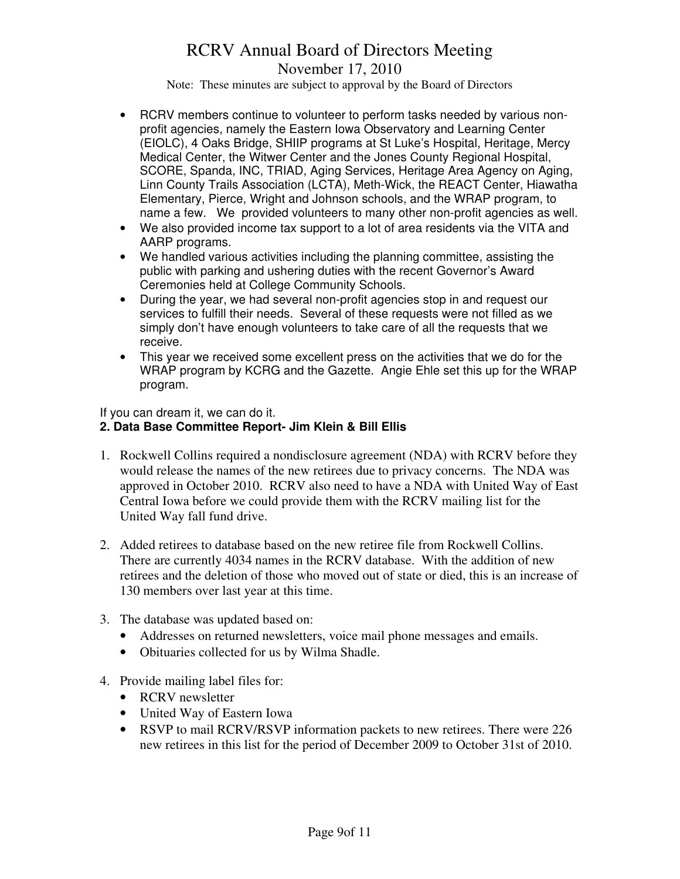November 17, 2010

Note: These minutes are subject to approval by the Board of Directors

- RCRV members continue to volunteer to perform tasks needed by various nonprofit agencies, namely the Eastern Iowa Observatory and Learning Center (EIOLC), 4 Oaks Bridge, SHIIP programs at St Luke's Hospital, Heritage, Mercy Medical Center, the Witwer Center and the Jones County Regional Hospital, SCORE, Spanda, INC, TRIAD, Aging Services, Heritage Area Agency on Aging, Linn County Trails Association (LCTA), Meth-Wick, the REACT Center, Hiawatha Elementary, Pierce, Wright and Johnson schools, and the WRAP program, to name a few. We provided volunteers to many other non-profit agencies as well.
- We also provided income tax support to a lot of area residents via the VITA and AARP programs.
- We handled various activities including the planning committee, assisting the public with parking and ushering duties with the recent Governor's Award Ceremonies held at College Community Schools.
- During the year, we had several non-profit agencies stop in and request our services to fulfill their needs. Several of these requests were not filled as we simply don't have enough volunteers to take care of all the requests that we receive.
- This year we received some excellent press on the activities that we do for the WRAP program by KCRG and the Gazette. Angie Ehle set this up for the WRAP program.

If you can dream it, we can do it.

### **2. Data Base Committee Report- Jim Klein & Bill Ellis**

- 1. Rockwell Collins required a nondisclosure agreement (NDA) with RCRV before they would release the names of the new retirees due to privacy concerns. The NDA was approved in October 2010. RCRV also need to have a NDA with United Way of East Central Iowa before we could provide them with the RCRV mailing list for the United Way fall fund drive.
- 2. Added retirees to database based on the new retiree file from Rockwell Collins. There are currently 4034 names in the RCRV database. With the addition of new retirees and the deletion of those who moved out of state or died, this is an increase of 130 members over last year at this time.
- 3. The database was updated based on:
	- Addresses on returned newsletters, voice mail phone messages and emails.
	- Obituaries collected for us by Wilma Shadle.
- 4. Provide mailing label files for:
	- RCRV newsletter
	- United Way of Eastern Iowa
	- RSVP to mail RCRV/RSVP information packets to new retirees. There were 226 new retirees in this list for the period of December 2009 to October 31st of 2010.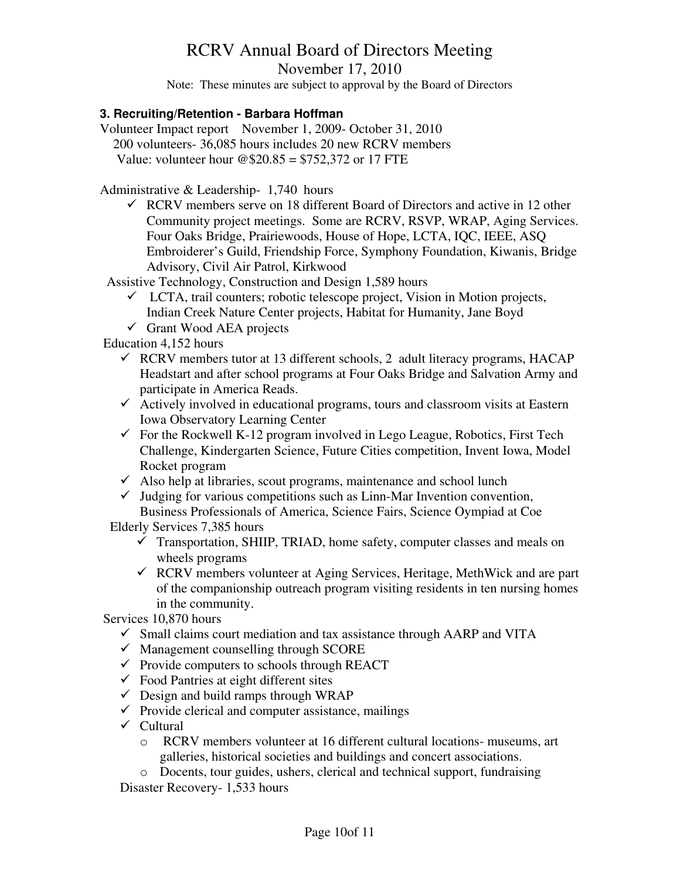November 17, 2010

Note: These minutes are subject to approval by the Board of Directors

### **3. Recruiting/Retention - Barbara Hoffman**

Volunteer Impact report November 1, 2009- October 31, 2010 200 volunteers- 36,085 hours includes 20 new RCRV members Value: volunteer hour  $@20.85 = $752,372$  or 17 FTE

Administrative & Leadership- 1,740 hours

 $\checkmark$  RCRV members serve on 18 different Board of Directors and active in 12 other Community project meetings. Some are RCRV, RSVP, WRAP, Aging Services. Four Oaks Bridge, Prairiewoods, House of Hope, LCTA, IQC, IEEE, ASQ Embroiderer's Guild, Friendship Force, Symphony Foundation, Kiwanis, Bridge Advisory, Civil Air Patrol, Kirkwood

Assistive Technology, Construction and Design 1,589 hours

- $\checkmark$  LCTA, trail counters; robotic telescope project, Vision in Motion projects, Indian Creek Nature Center projects, Habitat for Humanity, Jane Boyd
- $\checkmark$  Grant Wood AEA projects

Education 4,152 hours

- $\checkmark$  RCRV members tutor at 13 different schools, 2 adult literacy programs, HACAP Headstart and after school programs at Four Oaks Bridge and Salvation Army and participate in America Reads.
- $\checkmark$  Actively involved in educational programs, tours and classroom visits at Eastern Iowa Observatory Learning Center
- $\checkmark$  For the Rockwell K-12 program involved in Lego League, Robotics, First Tech Challenge, Kindergarten Science, Future Cities competition, Invent Iowa, Model Rocket program
- $\checkmark$  Also help at libraries, scout programs, maintenance and school lunch
- $\checkmark$  Judging for various competitions such as Linn-Mar Invention convention, Business Professionals of America, Science Fairs, Science Oympiad at Coe

Elderly Services 7,385 hours

- $\checkmark$  Transportation, SHIIP, TRIAD, home safety, computer classes and meals on wheels programs
- $\checkmark$  RCRV members volunteer at Aging Services, Heritage, MethWick and are part of the companionship outreach program visiting residents in ten nursing homes in the community.

Services 10,870 hours

- $\checkmark$  Small claims court mediation and tax assistance through AARP and VITA
- $\checkmark$  Management counselling through SCORE
- $\checkmark$  Provide computers to schools through REACT
- $\checkmark$  Food Pantries at eight different sites
- $\checkmark$  Design and build ramps through WRAP
- $\checkmark$  Provide clerical and computer assistance, mailings
- $\checkmark$  Cultural
	- o RCRV members volunteer at 16 different cultural locations- museums, art galleries, historical societies and buildings and concert associations.
	- o Docents, tour guides, ushers, clerical and technical support, fundraising

Disaster Recovery- 1,533 hours